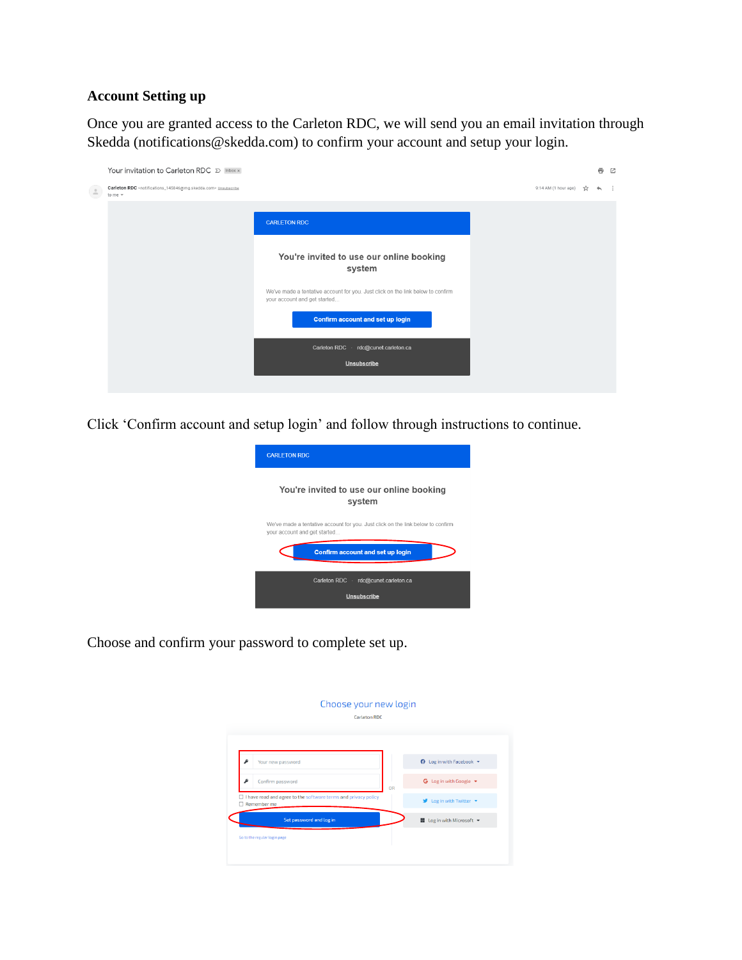## **Account Setting up**

Once you are granted access to the Carleton RDC, we will send you an email invitation through Skedda (notifications@skedda.com) to confirm your account and setup your login.



Click 'Confirm account and setup login' and follow through instructions to continue.



Choose and confirm your password to complete set up.

|   | <b>Carleton RDC</b>                                                           |    |                                                                 |
|---|-------------------------------------------------------------------------------|----|-----------------------------------------------------------------|
|   | Your new password                                                             |    | ↑ Log in with Facebook ▼                                        |
| ه | Confirm password                                                              | OR | G Log in with Google $\blacktriangleright$                      |
| □ | I have read and agree to the software terms and privacy policy<br>Remember me |    | $\blacktriangleright$ Log in with Twitter $\blacktriangleright$ |
|   | Set password and log in                                                       |    | Log in with Microsoft -                                         |
|   | Go to the regular login page                                                  |    |                                                                 |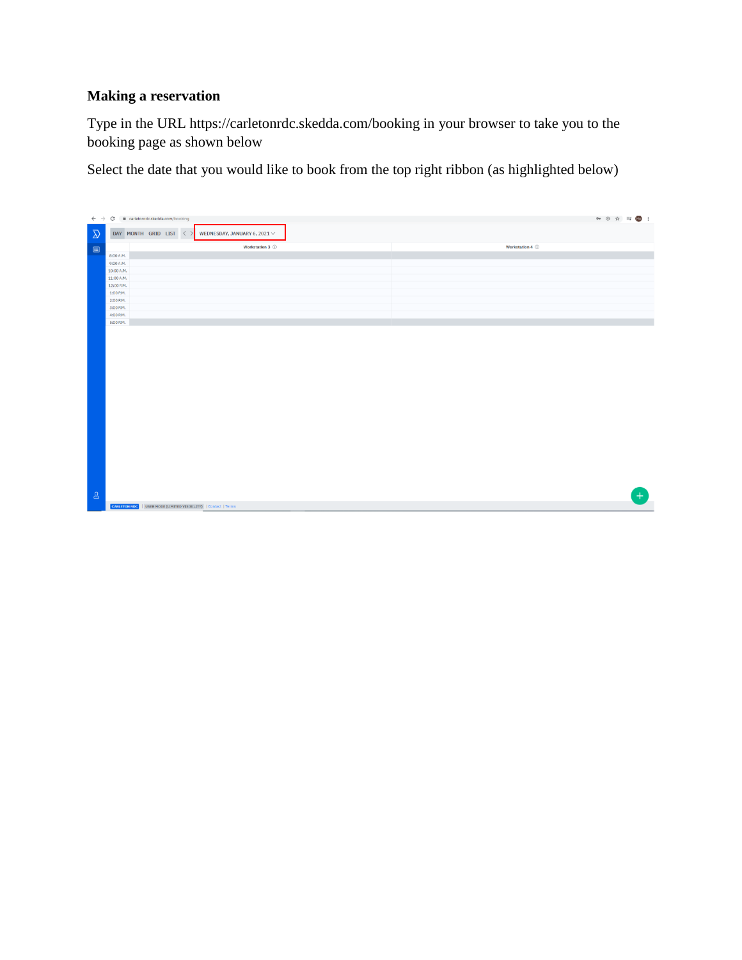## **Making a reservation**

Type in the URL https://carletonrdc.skedda.com/booking in your browser to take you to the booking page as shown below

Select the date that you would like to book from the top right ribbon (as highlighted below)

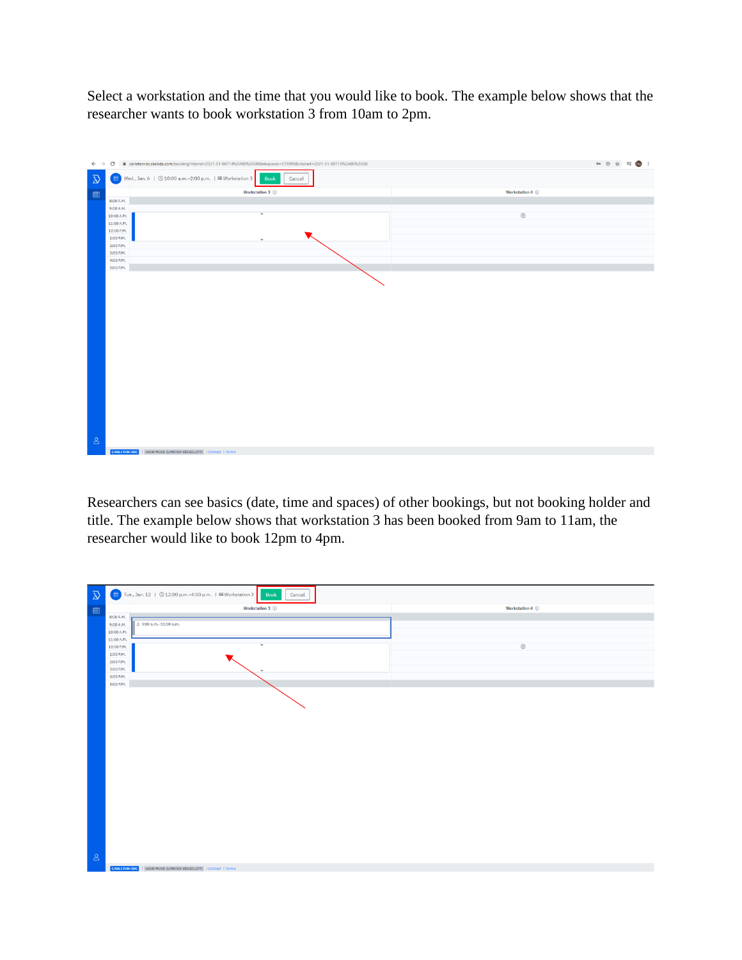Select a workstation and the time that you would like to book. The example below shows that the researcher wants to book workstation 3 from 10am to 2pm.



Researchers can see basics (date, time and spaces) of other bookings, but not booking holder and title. The example below shows that workstation 3 has been booked from 9am to 11am, the researcher would like to book 12pm to 4pm.

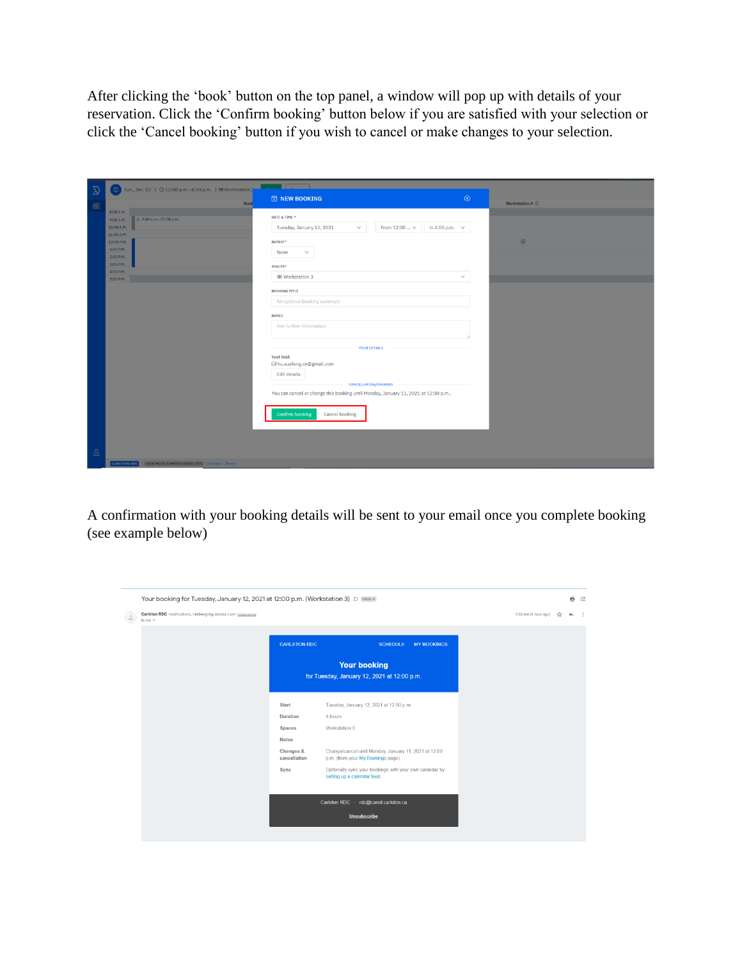After clicking the 'book' button on the top panel, a window will pop up with details of your reservation. Click the 'Confirm booking' button below if you are satisfied with your selection or click the 'Cancel booking' button if you wish to cancel or make changes to your selection.

| $\bar{\mathcal{D}}$            | Tue., Jan. 12   3 12:00 p.m. -4:00 p.m.   58 Workstation 3                                                                                                  | <b>The Common</b>                                                                                                                                                                                                                                                                                |                 |
|--------------------------------|-------------------------------------------------------------------------------------------------------------------------------------------------------------|--------------------------------------------------------------------------------------------------------------------------------------------------------------------------------------------------------------------------------------------------------------------------------------------------|-----------------|
|                                | Work                                                                                                                                                        | $\circledR$<br><b><i><b>i</b></i></b> NEW BOOKING                                                                                                                                                                                                                                                | Workstation 4 1 |
| $\qquad \qquad \boxdot \qquad$ | 8:00 A.M.<br>8 9:00 a.m.-11:00 a.m.<br>9:00 A.M.<br>10:00 A.M.<br>11:00 A.M.<br>12:00 P.M.<br>1:00 P.M.<br>2:00 P.M.<br>3:00 P.M.<br>4:00 P.M.<br>5:00 P.M. | DATE & TIME *<br>From 12:00 $\vee$<br>to 4:00 p.m. $\sim$<br>Tuesday, January 12, 2021<br>$\checkmark$<br><b>REPEAT*</b><br>None<br>$\checkmark$<br>SPACES*<br>認 Workstation 3<br>$\checkmark$<br><b>BOOKING TITLE</b><br>An optional booking summary<br><b>NOTES</b><br>Any further information | $\bigoplus$     |
|                                |                                                                                                                                                             |                                                                                                                                                                                                                                                                                                  |                 |
|                                |                                                                                                                                                             | <b>YOUR DETAILS</b><br>test test<br>⊠ hu.xuefeng.cn@gmail.com<br><b>Edit details</b><br><b>CANCELLATION/CHANGES</b><br>You can cancel or change this booking until Monday, January 11, 2021 at 12:00 p.m<br><b>Confirm booking</b><br>Cancel booking                                             |                 |
| $\beta$                        |                                                                                                                                                             |                                                                                                                                                                                                                                                                                                  |                 |
|                                | CARLETON RDC   USER MODE (LIMITED VISIBILITY)   Contact   Terms                                                                                             |                                                                                                                                                                                                                                                                                                  |                 |

A confirmation with your booking details will be sent to your email once you complete booking (see example below)

| to me + |                           |                                                                                            |  |  |
|---------|---------------------------|--------------------------------------------------------------------------------------------|--|--|
|         | <b>CARLETON RDC</b>       | <b>SCHEDULE - MY BOOKINGS</b>                                                              |  |  |
|         |                           | <b>Your booking</b><br>for Tuesday, January 12, 2021 at 12:00 p.m.                         |  |  |
|         | Start                     | Tuesday, January 12, 2021 at 12:00 p.m.                                                    |  |  |
|         | Duration                  | 4 hours                                                                                    |  |  |
|         | Spaces                    | Workstation 3                                                                              |  |  |
|         | Notes                     |                                                                                            |  |  |
|         | Changes &<br>cancellation | Change/cancel until Monday, January 11, 2021 at 12:00<br>p.m. (from your My Bookings page) |  |  |
|         | Sync                      | Optionally sync your bookings with your own calendar by<br>setting up a calendar feed.     |  |  |
|         |                           | Carleton RDC · rdc@cunet.carleton.ca                                                       |  |  |
|         |                           | <b>Unsubscribe</b>                                                                         |  |  |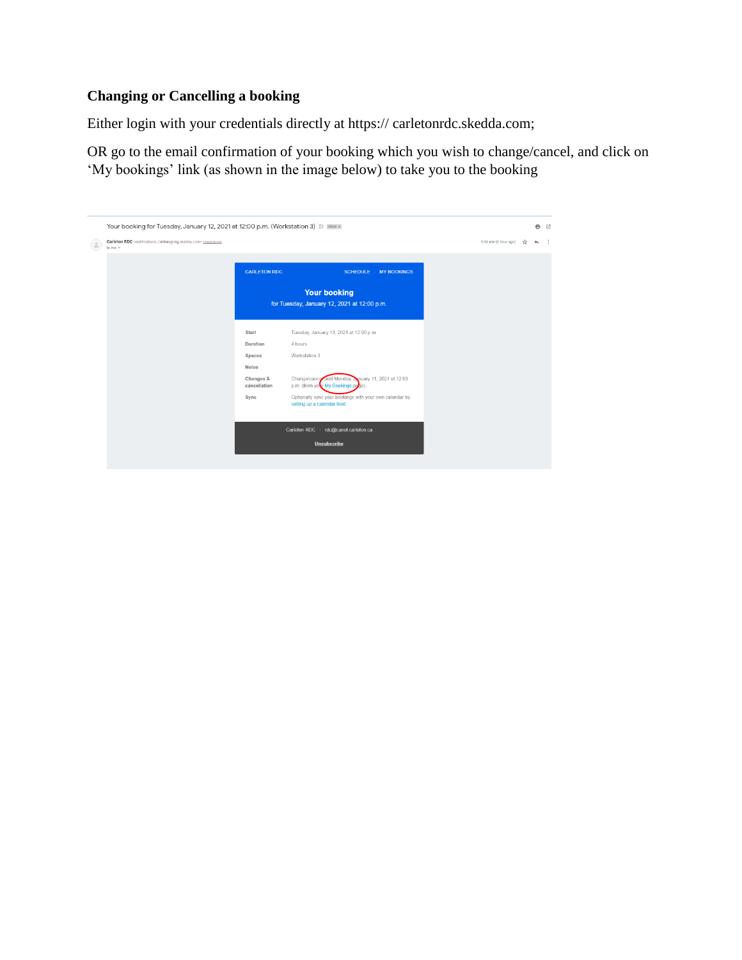## **Changing or Cancelling a booking**

Either login with your credentials directly at https:// carletonrdc.skedda.com;

OR go to the email confirmation of your booking which you wish to change/cancel, and click on 'My bookings' link (as shown in the image below) to take you to the booking

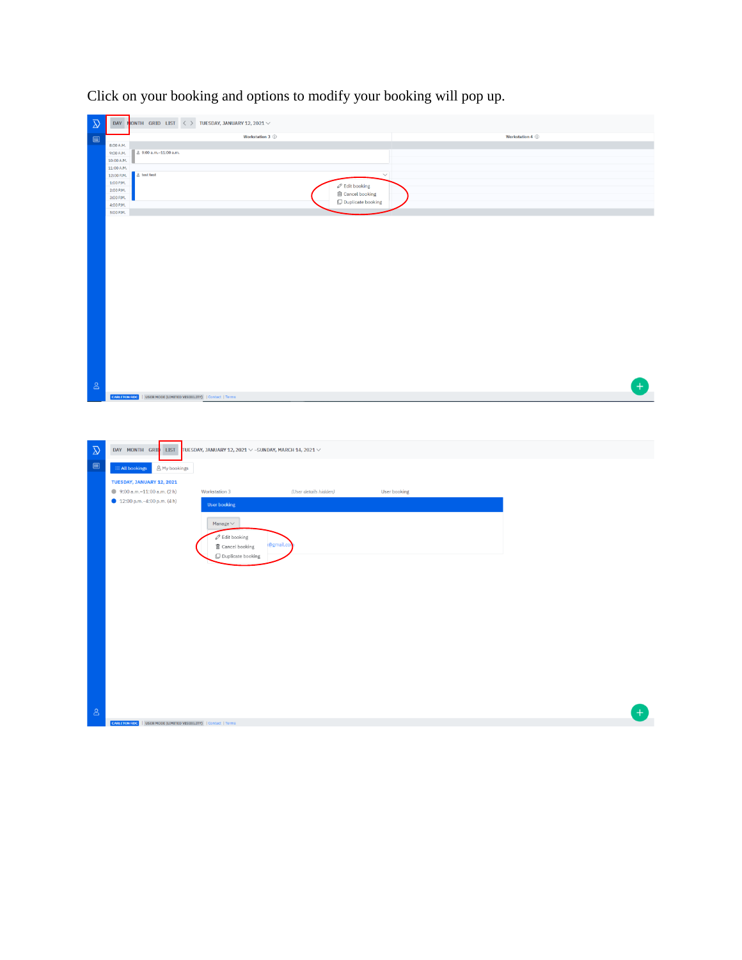| $\overline{\mathcal{D}}$<br>Workstation 3 1<br>Workstation 4 1<br>$\qquad \qquad \boxdot \qquad$<br>8:00 A.M.<br>8 9:00 a.m.-11:00 a.m.<br>9:00 A.M.<br>10:00 A.M.<br>11:00 A.M.<br>g test test<br>12:00 P.M.<br>$\overline{\vee}$<br>1:00 P.M.<br>$\mathcal{O}$ Edit booking<br>2:00 P.M.<br><b>ff</b> Cancel booking<br>3:00 P.M.<br>$\mathop{\Box}$ Duplicate booking<br>4:00 P.M.<br>5:00 P.M. |                    |
|----------------------------------------------------------------------------------------------------------------------------------------------------------------------------------------------------------------------------------------------------------------------------------------------------------------------------------------------------------------------------------------------------|--------------------|
|                                                                                                                                                                                                                                                                                                                                                                                                    |                    |
|                                                                                                                                                                                                                                                                                                                                                                                                    |                    |
|                                                                                                                                                                                                                                                                                                                                                                                                    |                    |
|                                                                                                                                                                                                                                                                                                                                                                                                    |                    |
|                                                                                                                                                                                                                                                                                                                                                                                                    |                    |
|                                                                                                                                                                                                                                                                                                                                                                                                    |                    |
|                                                                                                                                                                                                                                                                                                                                                                                                    |                    |
|                                                                                                                                                                                                                                                                                                                                                                                                    |                    |
|                                                                                                                                                                                                                                                                                                                                                                                                    |                    |
|                                                                                                                                                                                                                                                                                                                                                                                                    |                    |
|                                                                                                                                                                                                                                                                                                                                                                                                    |                    |
|                                                                                                                                                                                                                                                                                                                                                                                                    |                    |
|                                                                                                                                                                                                                                                                                                                                                                                                    |                    |
|                                                                                                                                                                                                                                                                                                                                                                                                    |                    |
|                                                                                                                                                                                                                                                                                                                                                                                                    |                    |
|                                                                                                                                                                                                                                                                                                                                                                                                    |                    |
|                                                                                                                                                                                                                                                                                                                                                                                                    |                    |
|                                                                                                                                                                                                                                                                                                                                                                                                    |                    |
|                                                                                                                                                                                                                                                                                                                                                                                                    |                    |
|                                                                                                                                                                                                                                                                                                                                                                                                    |                    |
|                                                                                                                                                                                                                                                                                                                                                                                                    |                    |
|                                                                                                                                                                                                                                                                                                                                                                                                    |                    |
| $\Delta$<br>CARLETON RDC   USER MODE (LIMITED VISIBILITY)   Contact   Terms                                                                                                                                                                                                                                                                                                                        | $\left  + \right $ |
|                                                                                                                                                                                                                                                                                                                                                                                                    |                    |
|                                                                                                                                                                                                                                                                                                                                                                                                    |                    |
|                                                                                                                                                                                                                                                                                                                                                                                                    |                    |
| DAY MONTH GRID LIST                                                                                                                                                                                                                                                                                                                                                                                |                    |
| $\overline{\Delta}$<br>TUESDAY, JANUARY 12, 2021 $\vee$ -SUNDAY, MARCH 14, 2021 $\vee$                                                                                                                                                                                                                                                                                                             |                    |
| $\textcolor{blue}{\blacksquare}$<br><b>Exall bookings</b> A My bookings                                                                                                                                                                                                                                                                                                                            |                    |
| TUESDAY, JANUARY 12, 2021                                                                                                                                                                                                                                                                                                                                                                          |                    |
| 9:00 a.m. $-11:00$ a.m. (2 h)<br>Workstation 3<br>(User details hidden)<br>User booking                                                                                                                                                                                                                                                                                                            |                    |
| $12:00$ p.m. -4:00 p.m. (4 h)<br><b>User booking</b>                                                                                                                                                                                                                                                                                                                                               |                    |
|                                                                                                                                                                                                                                                                                                                                                                                                    |                    |
| Manage $\vee$                                                                                                                                                                                                                                                                                                                                                                                      |                    |
| $\mathscr{O}$ Edit booking                                                                                                                                                                                                                                                                                                                                                                         |                    |
| @gmail.co<br><b>面</b> Cancel booking                                                                                                                                                                                                                                                                                                                                                               |                    |
| Duplicate booking                                                                                                                                                                                                                                                                                                                                                                                  |                    |
|                                                                                                                                                                                                                                                                                                                                                                                                    |                    |
|                                                                                                                                                                                                                                                                                                                                                                                                    |                    |
|                                                                                                                                                                                                                                                                                                                                                                                                    |                    |
|                                                                                                                                                                                                                                                                                                                                                                                                    |                    |
|                                                                                                                                                                                                                                                                                                                                                                                                    |                    |
|                                                                                                                                                                                                                                                                                                                                                                                                    |                    |
|                                                                                                                                                                                                                                                                                                                                                                                                    |                    |
|                                                                                                                                                                                                                                                                                                                                                                                                    |                    |
|                                                                                                                                                                                                                                                                                                                                                                                                    |                    |
|                                                                                                                                                                                                                                                                                                                                                                                                    |                    |
|                                                                                                                                                                                                                                                                                                                                                                                                    |                    |
|                                                                                                                                                                                                                                                                                                                                                                                                    |                    |
| $\triangle$                                                                                                                                                                                                                                                                                                                                                                                        | ۸                  |

Click on your booking and options to modify your booking will pop up.